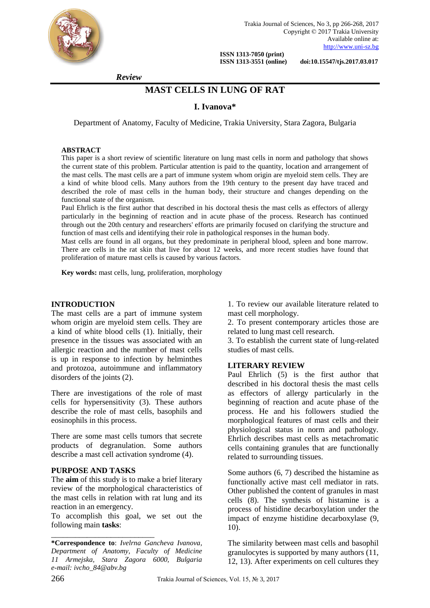

Trakia Journal of Sciences, No 3, pp 266-268, 2017 Copyright © 2017 Trakia University Available online at: [http://www.uni-sz.bg](http://www.uni-sz.bg/)

 **ISSN 1313-7050 (print)** 

 **ISSN 1313-3551 (online) doi:10.15547/tjs.2017.03.017**

 *Review*

# **MAST CELLS IN LUNG OF RAT**

### **I. Ivanova\***

Department of Anatomy, Faculty of Medicine, Trakia University, Stara Zagora, Bulgaria

#### **ABSTRACT**

This paper is a short review of scientific literature on lung mast cells in norm and pathology that shows the current state of this problem. Particular attention is paid to the quantity, location and arrangement of the mast cells. The mast cells are a part of immune system whom origin are myeloid stem cells. They are a kind of white blood cells. Many authors from the 19th century to the present day have traced and described the role of mast cells in the human body, their structure and changes depending on the functional state of the organism.

Paul Ehrlich is the first author that described in his doctoral thesis the mast cells as effectors of allergy particularly in the beginning of reaction and in acute phase of the process. Research has continued through out the 20th century and researchers' efforts are primarily focused on clarifying the structure and function of mast cells and identifying their role in pathological responses in the human body.

Mast cells are found in all organs, but they predominate in peripheral blood, spleen and bone marrow. There are cells in the rat skin that live for about 12 weeks, and more recent studies have found that proliferation of mature mast cells is caused by various factors.

**Key words:** mast cells, lung, proliferation, morphology

#### **INTRODUCTION**

The mast cells are a part of immune system whom origin are myeloid stem cells. They are a kind of white blood cells (1). Initially, their presence in the tissues was associated with an allergic reaction and the number of mast cells is up in response to infection by helminthes and protozoa, autoimmune and inflammatory disorders of the joints (2).

There are investigations of the role of mast cells for hypersensitivity (3). These authors describe the role of mast cells, basophils and eosinophils in this process.

There are some mast cells tumors that secrete products of degranulation. Some authors describe a mast cell activation syndrome (4).

#### **PURPOSE AND TASKS**

\_\_\_\_\_\_\_\_\_\_\_\_\_\_\_\_\_\_\_\_\_\_\_\_\_\_

The **aim** of this study is to make a brief literary review of the morphological characteristics of the mast cells in relation with rat lung and its reaction in an emergency.

To accomplish this goal, we set out the following main **tasks**:

1. To review our available literature related to mast cell morphology.

2. To present contemporary articles those are related to lung mast cell research.

3. To establish the current state of lung-related studies of mast cells.

#### **LITERARY REVIEW**

Paul Ehrlich (5) is the first author that described in his doctoral thesis the mast cells as effectors of allergy particularly in the beginning of reaction and acute phase of the process. He and his followers studied the morphological features of mast cells and their physiological status in norm and pathology. Ehrlich describes mast cells as metachromatic cells containing granules that are functionally related to surrounding tissues.

Some authors (6, 7) described the histamine as functionally active mast cell mediator in rats. Other published the content of granules in mast cells (8). The synthesis of histamine is a process of histidine decarboxylation under the impact of enzyme histidine decarboxylase (9, 10).

The similarity between mast cells and basophil granulocytes is supported by many authors (11, 12, 13). After experiments on cell cultures they

**<sup>\*</sup>Correspondence to**: *Ivelrna Gancheva Ivanova, Department of Anatomy, Faculty of Medicine 11 Armejska, Stara Zagora 6000, Bulgaria e-mail: ivcho\_84@abv.bg*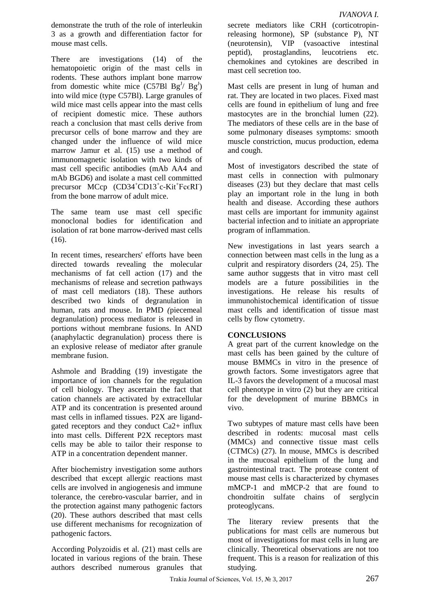demonstrate the truth of the role of interleukin 3 as a growth and differentiation factor for mouse mast cells.

There are investigations (14) of the hematopoietic origin of the mast cells in rodents. These authors implant bone marrow from domestic white mice  $(C57B1 Bg<sup>J</sup>/ Bg<sup>J</sup>)$ into wild mice (type C57Bl). Large granules of wild mice mast cells appear into the mast cells of recipient domestic mice. These authors reach a conclusion that mast cells derive from precursor cells of bone marrow and they are changed under the influence of wild mice marrow [Jamur et al. \(15\) u](https://www.ncbi.nlm.nih.gov/pmc/articles/PMC4230976/#bibr255-0022155414545334)se a method of immunomagnetic isolation with two kinds of mast cell specific antibodies (mAb AA4 and mAb BGD6) and isolate a mast cell committed precursor MCcp (CD34<sup>+</sup>CD13<sup>+</sup>c-Kit<sup>+</sup>FcERI) from the bone marrow of adult mice.

The same team use mast cell specific monoclonal bodies for identification and isolation of rat bone marrow-derived mast cells  $(16)$ .

In recent times, researchers' efforts have been directed towards revealing the molecular mechanisms of fat cell action (17) and the mechanisms of release and secretion pathways of mast cell mediators (18). These authors described two kinds of degranulation in human, rats and mouse. In PMD *(piecemeal*) degranulation) process mediator is released in portions without membrane fusions. In AND (anaphylactic degranulation) process there is an explosive release of mediator after granule membrane fusion.

Ashmole and Bradding (19) investigate the importance of ion channels for the regulation of cell biology. They ascertain the fact that cation channels are activated by extracellular ATP and its concentration is presented around mast cells in inflamed tissues. P2X are ligandgated receptors and they conduct Ca2+ influx into mast cells. Different P2X receptors mast cells may be able to tailor their response to ATP in a concentration dependent manner.

After biochemistry investigation some authors described that except allergic reactions mast cells are involved in angiogenesis and immune tolerance, the cerebro-vascular barrier, and in the protection against many pathogenic factors (20). These authors described that mast cells use different mechanisms for recognization of pathogenic factors.

According Polyzoidis et al. (21) mast cells are located in various regions of the brain. These authors described numerous granules that secrete mediators like CRH (corticotropinreleasing hormone), SP (substance P), NT (neurotensin), VIP (vasoactive intestinal peptid), prostaglandins, leucotriens etc. chemokines and cytokines are described in mast cell secretion too.

Mast cells are present in lung of human and rat. They are located in two places. Fixed mast cells are found in epithelium of lung and free mastocytes are in the bronchial lumen (22). The mediators of these cells are in the base of some pulmonary diseases symptoms: smooth muscle constriction, mucus production, edema and cough.

Most of investigators described the state of mast cells in connection with pulmonary diseases (23) but they declare that mast cells play an important role in the lung in both health and disease. According these authors mast cells are important for immunity against bacterial infection and to initiate an appropriate program of inflammation.

New investigations in last years search a connection between mast cells in the lung as a culprit and respiratory disorders (24, 25). The same author suggests that in vitro mast cell models are a future possibilities in the investigations. He release his results of immunohistochemical identification of tissue mast cells and identification of tissue mast cells by flow cytometry.

# **CONCLUSIONS**

A great part of the current knowledge on the mast cells has been gained by the culture of mouse BMMCs in vitro in the presence of growth factors. Some investigators agree that IL-3 favors the development of a mucosal mast cell phenotype in vitro (2) but they are critical for the development of murine BBMCs in vivo.

Two subtypes of mature mast cells have been described in rodents: mucosal mast cells (MMCs) and connective tissue mast cells (CTMCs) (27). In mouse, MMCs is described in the mucosal epithelium of the lung and gastrointestinal tract. The protease content of mouse mast cells is characterized by chymases mMCP-1 and mMCP-2 that are found to chondroitin sulfate chains of serglycin proteoglycans.

The literary review presents that the publications for mast cells are numerous but most of investigations for mast cells in lung are clinically. Theoretical observations are not too frequent. This is a reason for realization of this studying.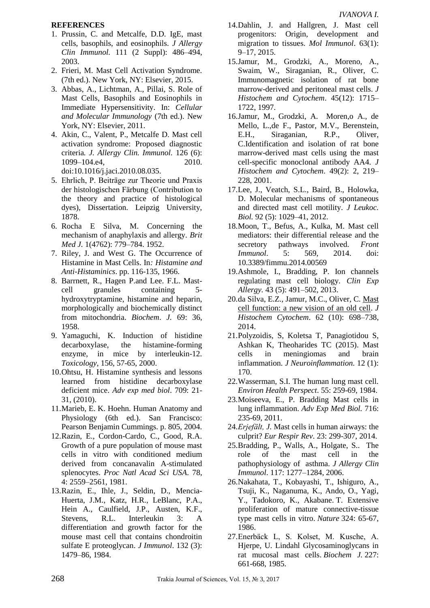## **REFERENCES**

- 1. Prussin, C. and Metcalfe, D.D. IgE, mast cells, basophils, and eosinophils. *J Allergy Clin Immunol.* 111 (2 Suppl): 486–494, 2003.
- 2. Frieri, M. Mast Cell Activation Syndrome. (7th ed.). New York, NY: Elsevier, 2015.
- 3. Abbas, A., Lichtman, A., Pillai, S. Role of Mast Cells, Basophils and Eosinophils in Immediate Hypersensitivity. In: *Cellular and Molecular Immunology* (7th ed.). New York, NY: Elsevier, 2011.
- 4. Akin, C., Valent, P., Metcalfe D. Mast cell activation syndrome: Proposed diagnostic criteria*. J. Allergy Clin. Immunol.* 126 (6): 1099–104.e4, 2010. doi:10.1016/j.jaci.2010.08.035.
- 5. Ehrlich, P. Beiträge zur Theorie und Praxis der histologischen Färbung (Contribution to the theory and practice of histological dyes), Dissertation. Leipzig University, 1878.
- 6. Rocha E Silva, M. Concerning the mechanism of anaphylaxis and allergy. *Brit Med J.* 1(4762): 779–784. 1952.
- 7. Riley, J. and West G. The Occurrence of Histamine in Mast Cells. In*: Histamine and Anti-Histaminics*. pp. 116-135, 1966.
- 8. Barrnett, R., Hagen P.and Lee. F.L. Mastcell granules containing 5 hydroxytryptamine, histamine and heparin, morphologically and biochemically distinct from mitochondria. *Biochem*. *J.* 69: 36, 1958.
- 9. Yamaguchi, K. Induction of histidine decarboxylase, the histamine-forming enzyme, in mice by interleukin-12. *Toxicology*, 156, 57-65, 2000.
- 10.Ohtsu, H. Histamine synthesis and lessons learned from histidine decarboxylase deficient mice. *Adv exp med biol*. 709: 21- 31, (2010).
- 11.Marieb, E. K. Hoehn. Human Anatomy and Physiology (6th ed.). San Francisco: Pearson Benjamin Cummings. p. 805, 2004.
- 12.Razin, E., Cordon-Cardo, C., Good, R.A. Growth of a pure population of mouse mast cells in vitro with conditioned medium derived from concanavalin A-stimulated splenocytes. *Proc Natl Acad Sci USA*. 78, 4: 2559–2561, 1981.
- 13.Razin, E., Ihle, J., Seldin, D., Mencia-Huerta, J.M., Katz, H.R., LeBlanc, P.A., Hein A., Caulfield, J.P., Austen, K.F., Stevens, R.L. Interleukin 3: A differentiation and growth factor for the mouse mast cell that contains chondroitin sulfate E proteoglycan. *J Immunol*. 132 (3): 1479–86, 1984.
- 14.Dahlin, J. and Hallgren, J. Mast cell progenitors: Origin, development and migration to tissues. *Mol Immunol*. 63(1): 9–17, 2015.
- 15.Jamur, M., Grodzki, A., Moreno, A., Swaim, W., Siraganian, R., Oliver, C. Immunomagnetic isolation of rat bone marrow-derived and peritoneal mast cells. *J Histochem and Cytochem*. 45(12): 1715– 1722, 1997.
- 16.Jamur, M., Grodzki, A. Moren,o A., de Mello, L.,de F., Pastor, M.V., Berenstein, E.H., Siraganian, R.P., Oliver, C.Identification and isolation of rat bone marrow-derived mast cells using the mast cell-specific monoclonal antibody AA4. *J Histochem and Cytochem*. 49(2): 2, 219– 228, 2001.
- 17.Lee, J., Veatch, S.L., Baird, B., Holowka, D. Molecular mechanisms of spontaneous and directed mast cell motility. *J Leukoc. Biol.* 92 (5): 1029–41, 2012.
- 18.Moon, T., Befus, A., Kulka, M. Mast cell mediators: their differential release and the secretory pathways involved. *Front Immunol*. 5: 569, 2014. doi: 10.3389/fimmu.2014.00569
- 19.Ashmole, I., Bradding, P. Ion channels regulating mast cell biology. *Clin Exp Allergy.* 43 (5): 491–502, 2013.
- 20.da Silva, E.Z., Jamur, M.C., Oliver, C*.* [Mast](https://www.ncbi.nlm.nih.gov/pmc/articles/PMC4230976)  [cell function: a new vision of an old cell.](https://www.ncbi.nlm.nih.gov/pmc/articles/PMC4230976) *J Histochem Cytochem*. 62 (10): 698–738, 2014.
- 21.Polyzoidis, S, Koletsa T, Panagiotidou S, Ashkan K, Theoharides TC (2015). Mast cells in meningiomas and brain inflammation. *J Neuroinflammation.* 12 (1): 170.
- 22.Wasserman, S.I. The human lung mast cell. *Environ Health Perspect*. 55: 259-69, 1984.
- 23.Moiseeva, E., P. Bradding Mast cells in lung inflammation. *Adv Exp Med Biol.* 716: 235-69, 2011.
- 24.*Erjefält, J.* Mast cells in human airways: the culprit? *Eur Respir Rev*. 23: 299-307, 2014.
- 25.Bradding, P., Walls, A., Holgate, S.. The role of the mast cell in the pathophysiology of asthma. *J Allergy Clin Immunol*. 117: 1277–1284, 2006.
- 26.Nakahata, T., Kobayashi, T., Ishiguro, A., Tsuji, K., Naganuma, K., Ando, O., Yagi, Y., Tadokoro, K., Akabane. T. Extensive proliferation of mature connective-tissue type mast cells in vitro. *Nature* 324: 65-67, 1986.
- 27.Enerbäck L, S. Kolset, M. Kusche, A. Hjerpe, U. Lindahl Glycosaminoglycans in rat mucosal mast cells. *Biochem J.* 227: 661-668, 1985.